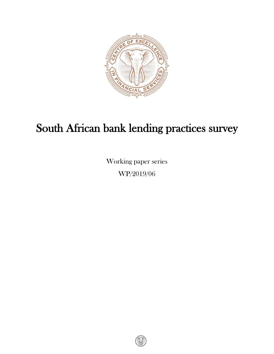

# South African bank lending practices survey

Working paper series WP/2019/06

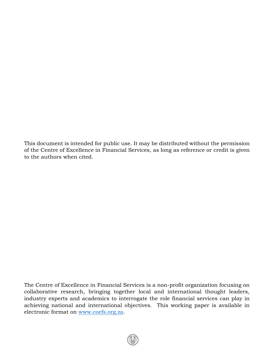This document is intended for public use. It may be distributed without the permission of the Centre of Excellence in Financial Services, as long as reference or credit is given to the authors when cited.

The Centre of Excellence in Financial Services is a non-profit organization focusing on collaborative research, bringing together local and international thought leaders, industry experts and academics to interrogate the role financial services can play in achieving national and international objectives. This working paper is available in electronic format on www.coefs.org.za.

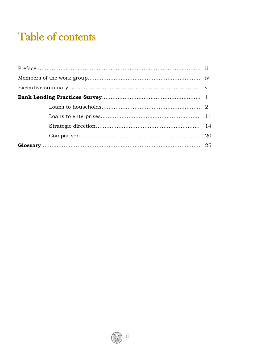# Table of contents

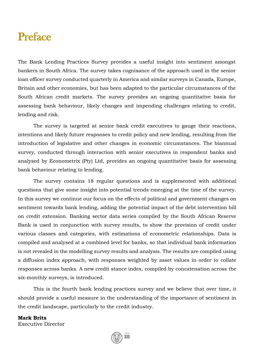# Preface

The Bank Lending Practices Survey provides a useful insight into sentiment amongst bankers in South Africa. The survey takes cognisance of the approach used in the senior loan officer survey conducted quarterly in America and similar surveys in Canada, Europe, Britain and other economies, but has been adapted to the particular circumstances of the South African credit markets. The survey provides an ongoing quantitative basis for assessing bank behaviour, likely changes and impending challenges relating to credit, lending and risk.

The survey is targeted at senior bank credit executives to gauge their reactions, intentions and likely future responses to credit policy and new lending, resulting from the introduction of legislative and other changes in economic circumstances. The biannual survey, conducted through interaction with senior executives in respondent banks and analysed by Econometrix (Pty) Ltd, provides an ongoing quantitative basis for assessing bank behaviour relating to lending.

The survey contains 18 regular questions and is supplemented with additional questions that give some insight into potential trends emerging at the time of the survey. In this survey we continue our focus on the effects of political and government changes on sentiment towards bank lending, adding the potential impact of the debt intervention bill on credit extension. Banking sector data series compiled by the South African Reserve Bank is used in conjunction with survey results, to show the provision of credit under various classes and categories, with estimations of econometric relationships. Data is compiled and analysed at a combined level for banks, so that individual bank information is not revealed in the modelling survey results and analysis. The results are compiled using a diffusion index approach, with responses weighted by asset values in order to collate responses across banks. A new credit stance index, compiled by concatenation across the six-monthly surveys, is introduced.

This is the fourth bank lending practices survey and we believe that over time, it should provide a useful measure in the understanding of the importance of sentiment in the credit landscape, particularly to the credit industry.

**iii** 

#### **Mark Brits** Executive Director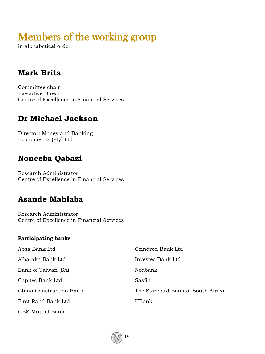# Members of the working group

in alphabetical order

# **Mark Brits**

Committee chair Executive Director Centre of Excellence in Financial Services

# **Dr Michael Jackson**

Director: Money and Banking Econometrix (Pty) Ltd

# **Nonceba Qabazi**

Research Administrator Centre of Excellence in Financial Services

## **Asande Mahlaba**

Research Administrator Centre of Excellence in Financial Services

#### **Participating banks**

| Absa Bank Ltd           | Grindrod Bank Ltd                 |
|-------------------------|-----------------------------------|
| Albaraka Bank Ltd       | Investec Bank Ltd                 |
| Bank of Taiwan (SA)     | Nedbank                           |
| Capitec Bank Ltd        | Sasfin                            |
| China Construction Bank | The Standard Bank of South Africa |
| First Rand Bank Ltd     | UBank                             |
| <b>GBS Mutual Bank</b>  |                                   |

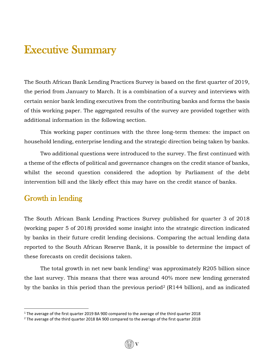# Executive Summary

The South African Bank Lending Practices Survey is based on the first quarter of 2019, the period from January to March. It is a combination of a survey and interviews with certain senior bank lending executives from the contributing banks and forms the basis of this working paper. The aggregated results of the survey are provided together with additional information in the following section.

This working paper continues with the three long-term themes: the impact on household lending, enterprise lending and the strategic direction being taken by banks.

Two additional questions were introduced to the survey. The first continued with a theme of the effects of political and governance changes on the credit stance of banks, whilst the second question considered the adoption by Parliament of the debt intervention bill and the likely effect this may have on the credit stance of banks.

#### Growth in lending

 $\overline{\phantom{a}}$ 

The South African Bank Lending Practices Survey published for quarter 3 of 2018 (working paper 5 of 2018) provided some insight into the strategic direction indicated by banks in their future credit lending decisions. Comparing the actual lending data reported to the South African Reserve Bank, it is possible to determine the impact of these forecasts on credit decisions taken.

The total growth in net new bank lending<sup>1</sup> was approximately R205 billion since the last survey. This means that there was around 40% more new lending generated by the banks in this period than the previous period<sup>2</sup> (R144 billion), and as indicated

v

 $1$  The average of the first quarter 2019 BA 900 compared to the average of the third quarter 2018

<sup>&</sup>lt;sup>2</sup> The average of the third quarter 2018 BA 900 compared to the average of the first quarter 2018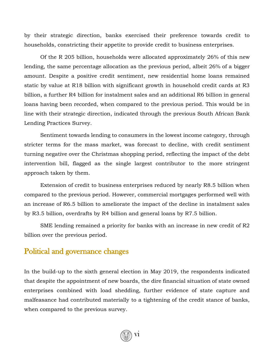by their strategic direction, banks exercised their preference towards credit to households, constricting their appetite to provide credit to business enterprises.

Of the R 205 billion, households were allocated approximately 26% of this new lending, the same percentage allocation as the previous period, albeit 26% of a bigger amount. Despite a positive credit sentiment, new residential home loans remained static by value at R18 billion with significant growth in household credit cards at R3 billion, a further R4 billion for instalment sales and an additional R6 billion in general loans having been recorded, when compared to the previous period. This would be in line with their strategic direction, indicated through the previous South African Bank Lending Practices Survey.

Sentiment towards lending to consumers in the lowest income category, through stricter terms for the mass market, was forecast to decline, with credit sentiment turning negative over the Christmas shopping period, reflecting the impact of the debt intervention bill, flagged as the single largest contributor to the more stringent approach taken by them.

Extension of credit to business enterprises reduced by nearly R8.5 billion when compared to the previous period. However, commercial mortgages performed well with an increase of R6.5 billion to ameliorate the impact of the decline in instalment sales by R3.5 billion, overdrafts by R4 billion and general loans by R7.5 billion.

SME lending remained a priority for banks with an increase in new credit of R2 billion over the previous period.

#### Political and governance changes

In the build-up to the sixth general election in May 2019, the respondents indicated that despite the appointment of new boards, the dire financial situation of state owned enterprises combined with load shedding, further evidence of state capture and malfeasance had contributed materially to a tightening of the credit stance of banks, when compared to the previous survey.

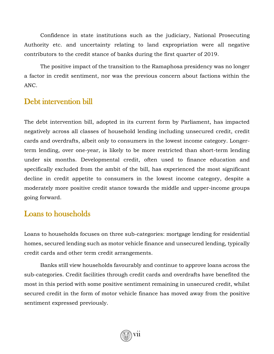Confidence in state institutions such as the judiciary, National Prosecuting Authority etc. and uncertainty relating to land expropriation were all negative contributors to the credit stance of banks during the first quarter of 2019.

The positive impact of the transition to the Ramaphosa presidency was no longer a factor in credit sentiment, nor was the previous concern about factions within the ANC.

#### Debt intervention bill

The debt intervention bill, adopted in its current form by Parliament, has impacted negatively across all classes of household lending including unsecured credit, credit cards and overdrafts, albeit only to consumers in the lowest income category. Longerterm lending, over one-year, is likely to be more restricted than short-term lending under six months. Developmental credit, often used to finance education and specifically excluded from the ambit of the bill, has experienced the most significant decline in credit appetite to consumers in the lowest income category, despite a moderately more positive credit stance towards the middle and upper-income groups going forward.

#### Loans to households

Loans to households focuses on three sub-categories: mortgage lending for residential homes, secured lending such as motor vehicle finance and unsecured lending, typically credit cards and other term credit arrangements.

Banks still view households favourably and continue to approve loans across the sub-categories. Credit facilities through credit cards and overdrafts have benefited the most in this period with some positive sentiment remaining in unsecured credit, whilst secured credit in the form of motor vehicle finance has moved away from the positive sentiment expressed previously.

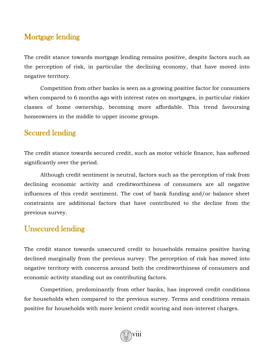#### Mortgage lending

The credit stance towards mortgage lending remains positive, despite factors such as the perception of risk, in particular the declining economy, that have moved into negative territory.

Competition from other banks is seen as a growing positive factor for consumers when compared to 6 months ago with interest rates on mortgages, in particular riskier classes of home ownership, becoming more affordable. This trend favoursing homeowners in the middle to upper income groups.

### Secured lending

The credit stance towards secured credit, such as motor vehicle finance, has softened significantly over the period.

Although credit sentiment is neutral, factors such as the perception of risk from declining economic activity and creditworthiness of consumers are all negative influences of this credit sentiment. The cost of bank funding and/or balance sheet constraints are additional factors that have contributed to the decline from the previous survey.

#### Unsecured lending

The credit stance towards unsecured credit to households remains positive having declined marginally from the previous survey. The perception of risk has moved into negative territory with concerns around both the creditworthiness of consumers and economic activity standing out as contributing factors.

Competition, predominantly from other banks, has improved credit conditions for households when compared to the previous survey. Terms and conditions remain positive for households with more lenient credit scoring and non-interest charges.

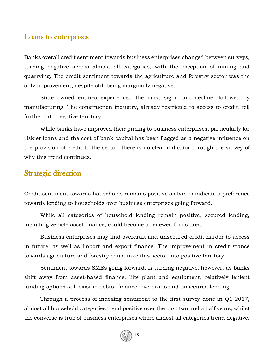#### Loans to enterprises

Banks overall credit sentiment towards business enterprises changed between surveys, turning negative across almost all categories, with the exception of mining and quarrying. The credit sentiment towards the agriculture and forestry sector was the only improvement, despite still being marginally negative.

State owned entities experienced the most significant decline, followed by manufacturing. The construction industry, already restricted to access to credit, fell further into negative territory.

While banks have improved their pricing to business enterprises, particularly for riskier loans and the cost of bank capital has been flagged as a negative influence on the provision of credit to the sector, there is no clear indicator through the survey of why this trend continues.

#### Strategic direction

Credit sentiment towards households remains positive as banks indicate a preference towards lending to households over business enterprises going forward.

While all categories of household lending remain positive, secured lending, including vehicle asset finance, could become a renewed focus area.

Business enterprises may find overdraft and unsecured credit harder to access in future, as well as import and export finance. The improvement in credit stance towards agriculture and forestry could take this sector into positive territory.

Sentiment towards SMEs going forward, is turning negative, however, as banks shift away from asset-based finance, like plant and equipment, relatively lenient funding options still exist in debtor finance, overdrafts and unsecured lending.

Through a process of indexing sentiment to the first survey done in Q1 2017, almost all household categories trend positive over the past two and a half years, whilst the converse is true of business enterprises where almost all categories trend negative.

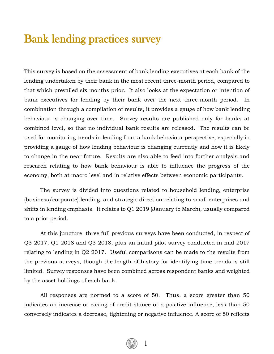# Bank lending practices survey

This survey is based on the assessment of bank lending executives at each bank of the lending undertaken by their bank in the most recent three-month period, compared to that which prevailed six months prior. It also looks at the expectation or intention of bank executives for lending by their bank over the next three-month period. In combination through a compilation of results, it provides a gauge of how bank lending behaviour is changing over time. Survey results are published only for banks at combined level, so that no individual bank results are released. The results can be used for monitoring trends in lending from a bank behaviour perspective, especially in providing a gauge of how lending behaviour is changing currently and how it is likely to change in the near future. Results are also able to feed into further analysis and research relating to how bank behaviour is able to influence the progress of the economy, both at macro level and in relative effects between economic participants.

The survey is divided into questions related to household lending, enterprise (business/corporate) lending, and strategic direction relating to small enterprises and shifts in lending emphasis. It relates to Q1 2019 (January to March), usually compared to a prior period.

At this juncture, three full previous surveys have been conducted, in respect of Q3 2017, Q1 2018 and Q3 2018, plus an initial pilot survey conducted in mid-2017 relating to lending in Q2 2017. Useful comparisons can be made to the results from the previous surveys, though the length of history for identifying time trends is still limited. Survey responses have been combined across respondent banks and weighted by the asset holdings of each bank.

All responses are normed to a score of 50. Thus, a score greater than 50 indicates an increase or easing of credit stance or a positive influence, less than 50 conversely indicates a decrease, tightening or negative influence. A score of 50 reflects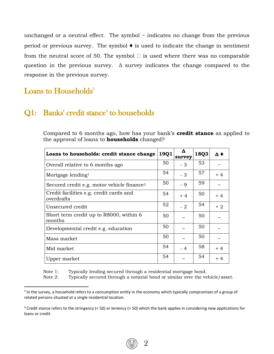unchanged or a neutral effect. The symbol  $\sim$  indicates no change from the previous period or previous survey. The symbol  $\bullet$  is used to indicate the change in sentiment from the neutral score of 50. The symbol  $\Box$  is used where there was no comparable question in the previous survey.  $\Delta$  survey indicates the change compared to the response in the previous survey.

Loans to Households<sup>3</sup>

l

#### Q1: Banks' credit stance<sup>4</sup> to households

Compared to 6 months ago, how has your bank's **credit stance** as applied to the approval of loans to **households** changed?

| Loans to households: credit stance change              | 19Q1 | Δ<br>survey           | 18Q3 | Δ♦   |
|--------------------------------------------------------|------|-----------------------|------|------|
| Overall relative to 6 months ago                       | 50   | $-3$                  | 53   |      |
| Mortgage lending <sup>1</sup>                          | 54   | $-3$                  | 57   | $+4$ |
| Secured credit e.g. motor vehicle finance <sup>2</sup> | 50   | - 9                   | 59   |      |
| Credit facilities e.g. credit cards and<br>overdrafts  | 54   | $+4$                  | 50   | $+4$ |
| Unsecured credit                                       | 52   | $-2$                  | 54   | $+2$ |
| Short term credit up to R8000, within 6<br>months      | 50   |                       | 50   |      |
| Developmental credit e.g. education                    | 50   | $\tilde{\phantom{a}}$ | 50   |      |
| Mass market                                            | 50   | $\tilde{\phantom{a}}$ | 50   |      |
| Mid market                                             | 54   | $-4$                  | 58   | $+4$ |
| Upper market                                           | 54   | $\tilde{}$            | 54   | $+4$ |

Note 1: Typically lending secured through a residential mortgage bond.

Note 2: Typically secured through a notarial bond or similar over the vehicle/asset.

<sup>&</sup>lt;sup>3</sup> In the survey, a household refers to a consumption entity in the economy which typically compromises of a group of related persons situated at a single residential location.

 $4$  Credit stance refers to the stringency (< 50) or leniency (> 50) which the bank applies in considering new applications for loans or credit.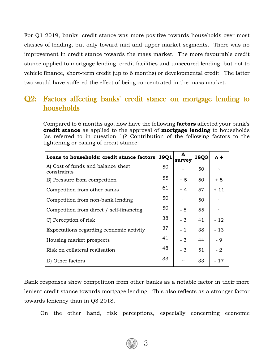For Q1 2019, banks' credit stance was more positive towards households over most classes of lending, but only toward mid and upper market segments. There was no improvement in credit stance towards the mass market. The more favourable credit stance applied to mortgage lending, credit facilities and unsecured lending, but not to vehicle finance, short-term credit (up to 6 months) or developmental credit. The latter two would have suffered the effect of being concentrated in the mass market.

#### Q2: Factors affecting banks' credit stance on mortgage lending to households

Compared to 6 months ago, how have the following **factors** affected your bank's **credit stance** as applied to the approval of **mortgage lending** to households (as referred to in question 1)? Contribution of the following factors to the tightening or easing of credit stance:

| Loans to households: credit stance factors        | 19Q1 | Δ<br>survey | 18Q3 | Δ♦    |
|---------------------------------------------------|------|-------------|------|-------|
| A) Cost of funds and balance sheet<br>constraints | 50   | $\tilde{}$  | 50   |       |
| B) Pressure from competition                      | 55   | $+5$        | 50   | $+5$  |
| Competition from other banks                      | 61   | $+4$        | 57   | $+11$ |
| Competition from non-bank lending                 | 50   | $\tilde{}$  | 50   |       |
| Competition from direct / self-financing          | 50   | $-5$        | 55   |       |
| C) Perception of risk                             | 38   | - 3         | 41   | - 12  |
| Expectations regarding economic activity          | 37   | $-1$        | 38   | $-13$ |
| Housing market prospects                          | 41   | $-3$        | 44   | - 9   |
| Risk on collateral realisation                    | 48   | $-3$        | 51   | $-2$  |
| D) Other factors                                  | 33   | $\tilde{}$  | 33   | - 17  |

Bank responses show competition from other banks as a notable factor in their more lenient credit stance towards mortgage lending. This also reflects as a stronger factor towards leniency than in Q3 2018.

On the other hand, risk perceptions, especially concerning economic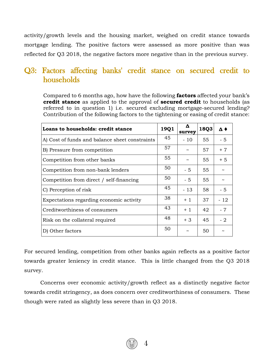activity/growth levels and the housing market, weighed on credit stance towards mortgage lending. The positive factors were assessed as more positive than was reflected for Q3 2018, the negative factors more negative than in the previous survey.

#### Q3: Factors affecting banks' credit stance on secured credit to households

Compared to 6 months ago, how have the following **factors** affected your bank's **credit stance** as applied to the approval of **secured credit** to households (as referred to in question 1) i.e. secured excluding mortgage-secured lending? Contribution of the following factors to the tightening or easing of credit stance:

| Loans to households: credit stance             | 19Q1 | Δ<br>survey | 18Q3 | $\Delta$ $\blacklozenge$ |
|------------------------------------------------|------|-------------|------|--------------------------|
| A) Cost of funds and balance sheet constraints | 45   | $-10$       | 55   | $-5$                     |
| B) Pressure from competition                   | 57   |             | 57   | $+7$                     |
| Competition from other banks                   | 55   | $\tilde{}$  | 55   | $+5$                     |
| Competition from non-bank lenders              | 50   | - 5         | 55   |                          |
| Competition from direct / self-financing       | 50   | $-5$        | 55   |                          |
| C) Perception of risk                          | 45   | $-13$       | 58   | - 5                      |
| Expectations regarding economic activity       | 38   | $+1$        | 37   | - 12                     |
| Creditworthiness of consumers                  | 43   | $+1$        | 42   | $-7$                     |
| Risk on the collateral required                | 48   | $+3$        | 45   | $-2$                     |
| D) Other factors                               | 50   | $\tilde{}$  | 50   |                          |

For secured lending, competition from other banks again reflects as a positive factor towards greater leniency in credit stance. This is little changed from the Q3 2018 survey.

Concerns over economic activity/growth reflect as a distinctly negative factor towards credit stringency, as does concern over creditworthiness of consumers. These though were rated as slightly less severe than in Q3 2018.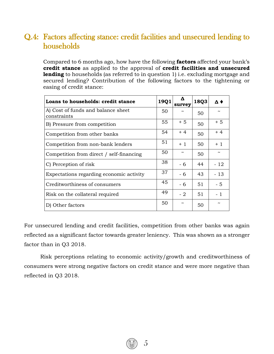## Q.4: Factors affecting stance: credit facilities and unsecured lending to households

Compared to 6 months ago, how have the following **factors** affected your bank's **credit stance** as applied to the approval of **credit facilities and unsecured lending** to households (as referred to in question 1) i.e. excluding mortgage and secured lending? Contribution of the following factors to the tightening or easing of credit stance:

| Loans to households: credit stance                | 19Q1 | Δ<br>survey | 18Q3 | Δ♦         |
|---------------------------------------------------|------|-------------|------|------------|
| A) Cost of funds and balance sheet<br>constraints | 50   |             | 50   |            |
| B) Pressure from competition                      | 55   | $+5$        | 50   | $+5$       |
| Competition from other banks                      | 54   | $+4$        | 50   | $+4$       |
| Competition from non-bank lenders                 | 51   | $+1$        | 50   | $+1$       |
| Competition from direct / self-financing          | 50   |             | 50   | $\tilde{}$ |
| C) Perception of risk                             | 38   | - 6         | 44   | - 12       |
| Expectations regarding economic activity          | 37   | - 6         | 43   | - 13       |
| Creditworthiness of consumers                     | 45   | $-6$        | 51   | $-5$       |
| Risk on the collateral required                   | 49   | $-2$        | 51   | $-1$       |
| D) Other factors                                  | 50   | $\tilde{}$  | 50   | $\tilde{}$ |

For unsecured lending and credit facilities, competition from other banks was again reflected as a significant factor towards greater leniency. This was shown as a stronger factor than in Q3 2018.

Risk perceptions relating to economic activity/growth and creditworthiness of consumers were strong negative factors on credit stance and were more negative than reflected in Q3 2018.

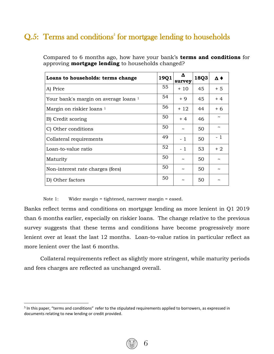# Q.5: Terms and conditions<sup>5</sup> for mortgage lending to households

| Loans to households: terms change     | 19Q1 | Δ<br>survey | 18Q3 | Δ♦                    |
|---------------------------------------|------|-------------|------|-----------------------|
| A) Price                              | 55   | + 10        | 45   | $+5$                  |
| Your bank's margin on average loans 1 | 54   | $+9$        | 45   | $+4$                  |
| Margin on riskier loans <sup>1</sup>  | 56   | + 12        | 44   | $+6$                  |
| B) Credit scoring                     | 50   | $+4$        | 46   |                       |
| C) Other conditions                   | 50   | ~           | 50   | $\tilde{\phantom{a}}$ |
| Collateral requirements               | 49   | $-1$        | 50   | - 1                   |
| Loan-to-value ratio                   | 52   | $-1$        | 53   | $+2$                  |
| Maturity                              | 50   |             | 50   |                       |
| Non-interest rate charges (fees)      | 50   | ~           | 50   |                       |
| D) Other factors                      | 50   |             | 50   |                       |

Compared to 6 months ago, how have your bank's **terms and conditions** for approving **mortgage lending** to households changed?

Note 1: Wider margin = tightened, narrower margin = eased.

Banks reflect terms and conditions on mortgage lending as more lenient in Q1 2019 than 6 months earlier, especially on riskier loans. The change relative to the previous survey suggests that these terms and conditions have become progressively more lenient over at least the last 12 months. Loan-to-value ratios in particular reflect as more lenient over the last 6 months.

Collateral requirements reflect as slightly more stringent, while maturity periods and fees charges are reflected as unchanged overall.

 $\overline{a}$ 

<sup>&</sup>lt;sup>5</sup> In this paper, "terms and conditions" refer to the stipulated requirements applied to borrowers, as expressed in documents relating to new lending or credit provided.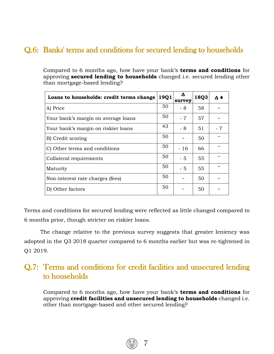# Q.6: Banks' terms and conditions for secured lending to households

Compared to 6 months ago, how have your bank's **terms and conditions** for approving **secured lending to households** changed i.e. secured lending other than mortgage-based lending?

| Loans to households: credit terms change | 19Q1 | Δ<br>survey           | 18Q3 | Δ♦  |
|------------------------------------------|------|-----------------------|------|-----|
| A) Price                                 | 50   | - 8                   | 58   |     |
| Your bank's margin on average loans      | 50   | $-7$                  | 57   |     |
| Your bank's margin on riskier loans      | 43   | - 8                   | 51   | - 7 |
| B) Credit scoring                        | 50   | $\tilde{\phantom{a}}$ | 50   |     |
| C) Other terms and conditions            | 50   | - 16                  | 66   |     |
| Collateral requirements                  | 50   | $-5$                  | 55   |     |
| Maturity                                 | 50   | $-5$                  | 55   |     |
| Non-interest rate charges (fees)         | 50   |                       | 50   |     |
| D) Other factors                         | 50   | ~                     | 50   |     |

Terms and conditions for secured lending were reflected as little changed compared to 6 months prior, though stricter on riskier loans.

The change relative to the previous survey suggests that greater leniency was adopted in the Q3 2018 quarter compared to 6 months earlier but was re-tightened in Q1 2019.

#### Q.7: Terms and conditions for credit facilities and unsecured lending to households

Compared to 6 months ago, how have your bank's **terms and conditions** for approving **credit facilities and unsecured lending to households** changed i.e. other than mortgage-based and other secured lending?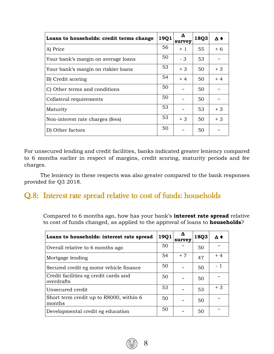| Loans to households: credit terms change | 19Q1 | Δ<br>survey | 18Q3 | Δ♦   |
|------------------------------------------|------|-------------|------|------|
| A) Price                                 | 56   | $+1$        | 55   | $+6$ |
| Your bank's margin on average loans      | 50   | - 3         | 53   |      |
| Your bank's margin on riskier loans      | 53   | $+3$        | 50   | $+3$ |
| B) Credit scoring                        | 54   | $+4$        | 50   | $+4$ |
| C) Other terms and conditions            | 50   | ~           | 50   |      |
| Collateral requirements                  | 50   | ~           | 50   |      |
| Maturity                                 | 53   | $\tilde{}$  | 53   | $+3$ |
| Non-interest rate charges (fees)         | 53   | $+3$        | 50   | $+3$ |
| D) Other factors                         | 50   | ~           | 50   |      |

For unsecured lending and credit facilities, banks indicated greater leniency compared to 6 months earlier in respect of margins, credit scoring, maturity periods and fee charges.

The leniency in these respects was also greater compared to the bank responses provided for Q3 2018.

#### Q.8: Interest rate spread relative to cost of funds: households

Compared to 6 months ago, how has your bank's **interest rate spread** relative to cost of funds changed, as applied to the approval of loans to **households**?

| Loans to households: interest rate spread           | 19Q1 | Δ<br>survey | 18Q3 | $\Delta$ $\blacklozenge$ |
|-----------------------------------------------------|------|-------------|------|--------------------------|
| Overall relative to 6 months ago                    | 50   |             | 50   |                          |
| Mortgage lending                                    | 54   | $+7$        | 47   | $+4$                     |
| Secured credit eg motor vehicle finance             | 50   |             | 50   | - 1                      |
| Credit facilities eg credit cards and<br>overdrafts | 50   | ~           | 50   |                          |
| Unsecured credit                                    | 53   | $\sim$      | 53   | $+3$                     |
| Short term credit up to R8000, within 6<br>months   | 50   | ~           | 50   |                          |
| Developmental credit eg education                   | 50   | $\tilde{}$  | 50   |                          |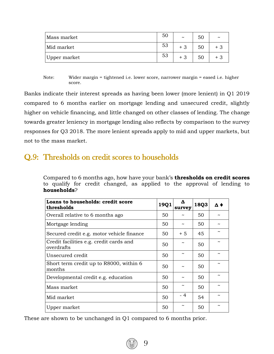| Mass market  | 50 | $\tilde{\phantom{a}}$ | 50 | $\tilde{\phantom{a}}$ |
|--------------|----|-----------------------|----|-----------------------|
| Mid market   | 53 | $+3$                  | 50 | + 3                   |
| Upper market | 53 | $+3$                  | 50 | + 3                   |

Note: Wider margin = tightened i.e. lower score, narrower margin = eased i.e. higher score.

Banks indicate their interest spreads as having been lower (more lenient) in Q1 2019 compared to 6 months earlier on mortgage lending and unsecured credit, slightly higher on vehicle financing, and little changed on other classes of lending. The change towards greater leniency in mortgage lending also reflects by comparison to the survey responses for Q3 2018. The more lenient spreads apply to mid and upper markets, but not to the mass market.

### Q.9: Thresholds on credit scores to households

Compared to 6 months ago, how have your bank's **thresholds on credit scores** to qualify for credit changed, as applied to the approval of lending to **households**?

| Loans to households: credit score<br>thresholds       | 19Q1 | Δ<br>survey           | 18Q3 | $\Delta$ |
|-------------------------------------------------------|------|-----------------------|------|----------|
| Overall relative to 6 months ago                      | 50   |                       | 50   |          |
| Mortgage lending                                      | 50   | $\tilde{\phantom{a}}$ | 50   |          |
| Secured credit e.g. motor vehicle finance             | 50   | $+5$                  | 45   |          |
| Credit facilities e.g. credit cards and<br>overdrafts | 50   | $\tilde{\phantom{a}}$ | 50   |          |
| Unsecured credit                                      | 50   | $\tilde{\phantom{a}}$ | 50   |          |
| Short term credit up to R8000, within 6<br>months     | 50   |                       | 50   |          |
| Developmental credit e.g. education                   | 50   |                       | 50   |          |
| Mass market                                           | 50   | $\tilde{\phantom{a}}$ | 50   |          |
| Mid market                                            | 50   | - 4                   | 54   | ~        |
| Upper market                                          | 50   | $\tilde{\phantom{a}}$ | 50   |          |

9

These are shown to be unchanged in Q1 compared to 6 months prior.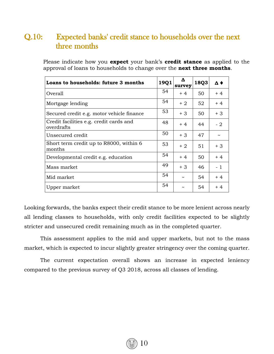#### Q.10: Expected banks' credit stance to households over the next three months

Please indicate how you **expect** your bank's **credit stance** as applied to the approval of loans to households to change over the **next three months**.

| Loans to households: future 3 months                  | 19Q1 | Δ<br>survey           | 18Q3 | $\Delta$ $\blacklozenge$ |
|-------------------------------------------------------|------|-----------------------|------|--------------------------|
| Overall                                               | 54   | $+4$                  | 50   | $+4$                     |
| Mortgage lending                                      | 54   | $+2$                  | 52   | $+4$                     |
| Secured credit e.g. motor vehicle finance             | 53   | $+3$                  | 50   | $+3$                     |
| Credit facilities e.g. credit cards and<br>overdrafts | 48   | $+4$                  | 44   | - 2                      |
| Unsecured credit                                      | 50   | $+3$                  | 47   |                          |
| Short term credit up to R8000, within 6<br>months     | 53   | $+2$                  | 51   | $+3$                     |
| Developmental credit e.g. education                   | 54   | $+4$                  | 50   | $+4$                     |
| Mass market                                           | 49   | $+3$                  | 46   | - 1                      |
| Mid market                                            | 54   | $\tilde{\phantom{a}}$ | 54   | $+4$                     |
| Upper market                                          | 54   | ~                     | 54   | $+4$                     |

Looking forwards, the banks expect their credit stance to be more lenient across nearly all lending classes to households, with only credit facilities expected to be slightly stricter and unsecured credit remaining much as in the completed quarter.

This assessment applies to the mid and upper markets, but not to the mass market, which is expected to incur slightly greater stringency over the coming quarter.

The current expectation overall shows an increase in expected leniency compared to the previous survey of Q3 2018, across all classes of lending.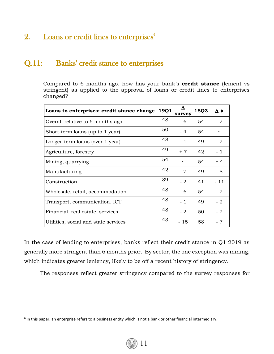## 2. Loans or credit lines to enterprises<sup>6</sup>

#### Q.11: Banks' credit stance to enterprises

Compared to 6 months ago, how has your bank's **credit stance** (lenient vs stringent) as applied to the approval of loans or credit lines to enterprises changed?

| Loans to enterprises: credit stance change | 19Q1 | Δ<br>survey | 18Q3 | $\Delta$ $\blacklozenge$ |
|--------------------------------------------|------|-------------|------|--------------------------|
| Overall relative to 6 months ago           | 48   | - 6         | 54   | $-2$                     |
| Short-term loans (up to 1 year)            | 50   | - 4         | 54   | $\tilde{}$               |
| Longer-term loans (over 1 year)            | 48   | - 1         | 49   | $-2$                     |
| Agriculture, forestry                      | 49   | $+7$        | 42   | $-1$                     |
| Mining, quarrying                          | 54   |             | 54   | $+4$                     |
| Manufacturing                              | 42   | $-7$        | 49   | - 8                      |
| Construction                               | 39   | $-2$        | 41   | $-11$                    |
| Wholesale, retail, accommodation           | 48   | - 6         | 54   | $-2$                     |
| Transport, communication, ICT              | 48   | $-1$        | 49   | $-2$                     |
| Financial, real estate, services           | 48.  | - 2         | 50   | $-2$                     |
| Utilities, social and state services       | 43   | - 15        | 58   | - 7                      |

In the case of lending to enterprises, banks reflect their credit stance in Q1 2019 as generally more stringent than 6 months prior. By sector, the one exception was mining, which indicates greater leniency, likely to be off a recent history of stringency.

The responses reflect greater stringency compared to the survey responses for

 $\overline{\phantom{a}}$ 



 $<sup>6</sup>$  In this paper, an enterprise refers to a business entity which is not a bank or other financial intermediary.</sup>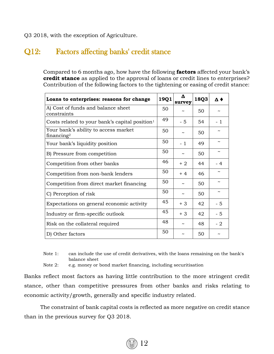Q3 2018, with the exception of Agriculture.

#### Q12: Factors affecting banks' credit stance

Compared to 6 months ago, how have the following **factors** affected your bank's **credit stance** as applied to the approval of loans or credit lines to enterprises? Contribution of the following factors to the tightening or easing of credit stance:

| Loans to enterprises: reasons for change                       | 19Q1 | Δ<br>survey           | 18Q3 | $\mathbf{\Lambda}$    |
|----------------------------------------------------------------|------|-----------------------|------|-----------------------|
| A) Cost of funds and balance sheet<br>constraints              | 50   |                       | 50   |                       |
| Costs related to your bank's capital position <sup>1</sup>     | 49   | - 5                   | 54   | - 1                   |
| Your bank's ability to access market<br>financing <sup>2</sup> | 50   | ~                     | 50   |                       |
| Your bank's liquidity position                                 | 50   | $-1$                  | 49   |                       |
| B) Pressure from competition                                   | 50   | $\tilde{\phantom{a}}$ | 50   |                       |
| Competition from other banks                                   | 46   | $+2$                  | 44   | - 4                   |
| Competition from non-bank lenders                              | 50   | $+4$                  | 46   |                       |
| Competition from direct market financing                       | 50   | $\tilde{\phantom{a}}$ | 50   |                       |
| C) Perception of risk                                          | 50   | $\tilde{\phantom{a}}$ | 50   | $\tilde{\phantom{a}}$ |
| Expectations on general economic activity                      | 45   | $+3$                  | 42   | $-5$                  |
| Industry or firm-specific outlook                              | 45   | $+3$                  | 42   | $-5$                  |
| Risk on the collateral required                                | 48   |                       | 48   | - 2                   |
| D) Other factors                                               | 50   |                       | 50   |                       |

Note 1: can include the use of credit derivatives, with the loans remaining on the bank's balance sheet

Note 2: e.g. money or bond market financing, including securitisation

Banks reflect most factors as having little contribution to the more stringent credit stance, other than competitive pressures from other banks and risks relating to economic activity/growth, generally and specific industry related.

The constraint of bank capital costs is reflected as more negative on credit stance than in the previous survey for Q3 2018.

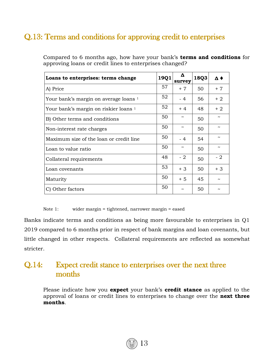# Q.13: Terms and conditions for approving credit to enterprises

| Loans to enterprises: terms change      | 19Q1 | Δ<br>survey           | 18Q3 | $\Delta$ $\blacklozenge$ |
|-----------------------------------------|------|-----------------------|------|--------------------------|
| A) Price                                | 57   | $+7$                  | 50   | $+7$                     |
| Your bank's margin on average loans 1   | 52   | - 4                   | 56   | $+2$                     |
| Your bank's margin on riskier loans 1   | 52   | $+4$                  | 48   | $+2$                     |
| B) Other terms and conditions           | 50   |                       | 50   |                          |
| Non-interest rate charges               | 50   |                       | 50   | $\tilde{}$               |
| Maximum size of the loan or credit line | 50   | - 4                   | 54   | $\tilde{\phantom{a}}$    |
| Loan to value ratio                     | 50   | $\tilde{\phantom{a}}$ | 50   | $\tilde{\phantom{a}}$    |
| Collateral requirements                 | 48   | $-2$                  | 50   | - 2                      |
| Loan covenants                          | 53   | $+3$                  | 50   | $+3$                     |
| Maturity                                | 50   | $+5$                  | 45   |                          |
| Other factors                           | 50   |                       | 50   |                          |

Compared to 6 months ago, how have your bank's **terms and conditions** for approving loans or credit lines to enterprises changed?

Note 1: wider margin = tightened, narrower margin = eased

Banks indicate terms and conditions as being more favourable to enterprises in Q1 2019 compared to 6 months prior in respect of bank margins and loan covenants, but little changed in other respects. Collateral requirements are reflected as somewhat stricter.

#### Q.14: Expect credit stance to enterprises over the next three months

Please indicate how you **expect** your bank's **credit stance** as applied to the approval of loans or credit lines to enterprises to change over the **next three months**.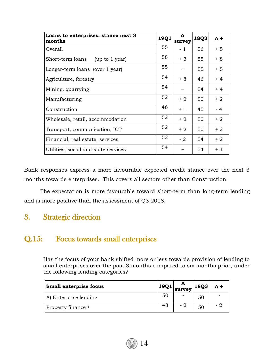| Loans to enterprises: stance next 3<br>months | 19Q1 | Δ<br>survey | 18Q3 | Δ♦   |
|-----------------------------------------------|------|-------------|------|------|
| Overall                                       | 55   | $-1$        | 56   | $+5$ |
| Short-term loans<br>(up to 1 year)            | 58   | $+3$        | 55   | $+8$ |
| Longer-term loans (over 1 year)               | 55   |             | 55   | $+5$ |
| Agriculture, forestry                         | 54   | $+8$        | 46   | $+4$ |
| Mining, quarrying                             | 54   |             | 54   | $+4$ |
| Manufacturing                                 | 52   | $+2$        | 50   | $+2$ |
| Construction                                  | 46   | $+1$        | 45   | $-4$ |
| Wholesale, retail, accommodation              | 52   | $+2$        | 50   | $+2$ |
| Transport, communication, ICT                 | 52   | $+2$        | 50   | $+2$ |
| Financial, real estate, services              | 52   | $-2$        | 54   | $+2$ |
| Utilities, social and state services          | 54   | ົ           | 54   | $+4$ |

Bank responses express a more favourable expected credit stance over the next 3 months towards enterprises. This covers all sectors other than Construction.

The expectation is more favourable toward short-term than long-term lending and is more positive than the assessment of Q3 2018.

#### 3. Strategic direction

#### Q.15: Focus towards small enterprises

Has the focus of your bank shifted more or less towards provision of lending to small enterprises over the past 3 months compared to six months prior, under the following lending categories?

| <b>Small enterprise focus</b> | 19Q1 | survey                | 18Q3 | $\Delta$ $\blacklozenge$ |
|-------------------------------|------|-----------------------|------|--------------------------|
| A) Enterprise lending         | 50   | $\tilde{\phantom{a}}$ | 50   | $\tilde{\phantom{a}}$    |
| Property finance <sup>1</sup> | 48   | - 2                   | 50   | - 1                      |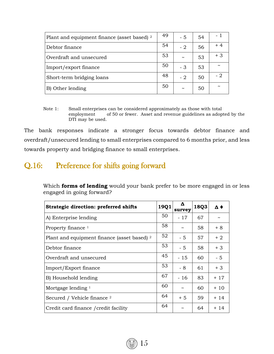| Plant and equipment finance (asset based) 2 | 49 | - 5        | 54 | - 1                   |
|---------------------------------------------|----|------------|----|-----------------------|
| Debtor finance                              | 54 | $-2$       | 56 | + 4                   |
| Overdraft and unsecured                     | 53 | $\tilde{}$ | 53 | $+3$                  |
| Import/export finance                       | 50 | - 3        | 53 | $\tilde{\phantom{a}}$ |
| Short-term bridging loans                   | 48 | - 2        | 50 | - 2                   |
| B) Other lending                            | 50 | $\tilde{}$ | 50 | $\tilde{\phantom{a}}$ |

Note 1: Small enterprises can be considered approximately as those with total employment of 50 or fewer. Asset and revenue guidelines as adopted by the DTI may be used.

The bank responses indicate a stronger focus towards debtor finance and overdraft/unsecured lending to small enterprises compared to 6 months prior, and less towards property and bridging finance to small enterprises.

#### Q.16: Preference for shifts going forward

Which **forms of lending** would your bank prefer to be more engaged in or less engaged in going forward?

| <b>Strategic direction: preferred shifts</b> | 19Q1 | Δ<br>survey           | 18Q3 | Δ♦    |
|----------------------------------------------|------|-----------------------|------|-------|
| A) Enterprise lending                        | 50   | $-17$                 | 67   |       |
| Property finance $1$                         | 58   |                       | 58   | $+8$  |
| Plant and equipment finance (asset based) 2  | 52   | - 5                   | 57   | $+2$  |
| Debtor finance                               | 53   | - 5                   | 58   | $+3$  |
| Overdraft and unsecured                      | 45   | $-15$                 | 60   | $-5$  |
| Import/Export finance                        | 53   | - 8                   | 61   | $+3$  |
| B) Household lending                         | 67   | $-16$                 | 83   | $+17$ |
| Mortgage lending $1$                         | 60   | $\tilde{\phantom{a}}$ | 60   | $+10$ |
| Secured / Vehicle finance 2                  | 64   | $+5$                  | 59   | $+14$ |
| Credit card finance / credit facility        | 64   | $\tilde{}$            | 64   | + 14  |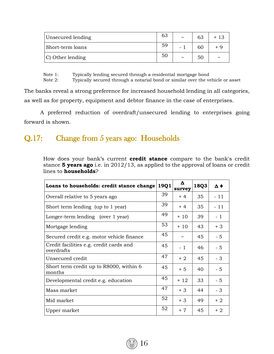| Unsecured lending | 63 | $\tilde{\phantom{a}}$ | 63 |                       |
|-------------------|----|-----------------------|----|-----------------------|
| Short-term loans  | 59 |                       | 60 | + 9                   |
| C) Other lending  | 50 | $\tilde{}$            | 50 | $\tilde{\phantom{a}}$ |

Note 1: Typically lending secured through a residential mortgage bond

Note 2: Typically secured through a notarial bond or similar over the vehicle or asset

The banks reveal a strong preference for increased household lending in all categories, as well as for property, equipment and debtor finance in the case of enterprises.

A preferred reduction of overdraft/unsecured lending to enterprises going forward is shown.

#### Q.17: Change from 5 years ago: Households

How does your bank's current **credit stance** compare to the bank's credit stance **5 years ago** i.e. in 2012/13, as applied to the approval of loans or credit lines to **households**?

| Loans to households: credit stance change             | 19Q1 | Δ<br>survey | 18Q3 | Δ♦    |
|-------------------------------------------------------|------|-------------|------|-------|
| Overall relative to 5 years ago                       | 39   | $+4$        | 35   | $-11$ |
| Short term lending (up to 1 year)                     | 39   | $+4$        | 35   | $-11$ |
| Longer-term lending (over 1 year)                     | 49   | $+10$       | 39   | $-1$  |
| Mortgage lending                                      | 53   | $+10$       | 43   | $+3$  |
| Secured credit e.g. motor vehicle finance             | 45   |             | 45   | $-5$  |
| Credit facilities e.g. credit cards and<br>overdrafts | 45   | $-1$        | 46   | $-5$  |
| Unsecured credit                                      | 47   | $+2$        | 45   | $-3$  |
| Short term credit up to R8000, within 6<br>months     | 45   | $+5$        | 40   | $-5$  |
| Developmental credit e.g. education                   | 45   | $+12$       | 33   | $-5$  |
| Mass market                                           | 47   | $+3$        | 44   | $-3$  |
| Mid market                                            | 52   | $+3$        | 49   | $+2$  |
| Upper market                                          | 52   | $+7$        | 45   | $+2$  |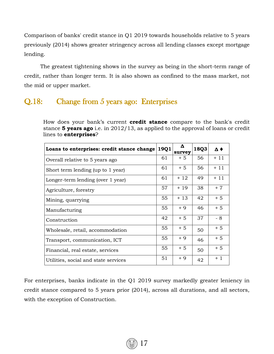Comparison of banks' credit stance in Q1 2019 towards households relative to 5 years previously (2014) shows greater stringency across all lending classes except mortgage lending.

The greatest tightening shows in the survey as being in the short-term range of credit, rather than longer term. It is also shown as confined to the mass market, not the mid or upper market.

#### Q.18: Change from 5 years ago: Enterprises

How does your bank's current **credit stance** compare to the bank's credit stance **5 years ago** i.e. in 2012/13, as applied to the approval of loans or credit lines to **enterprises**?

| Loans to enterprises: credit stance change | 19Q1 | Δ<br>survey | 18Q3 | Δ♦    |
|--------------------------------------------|------|-------------|------|-------|
| Overall relative to 5 years ago            | 61   | $+5$        | 56   | $+11$ |
| Short term lending (up to 1 year)          | 61   | $+5$        | 56   | $+11$ |
| Longer-term lending (over 1 year)          | 61   | $+12$       | 49   | $+11$ |
| Agriculture, forestry                      | 57   | $+19$       | 38   | $+7$  |
| Mining, quarrying                          | 55   | $+13$       | 42   | $+5$  |
| Manufacturing                              | 55   | $+9$        | 46   | $+5$  |
| Construction                               | 42   | $+5$        | 37   | - 8   |
| Wholesale, retail, accommodation           | 55   | $+5$        | 50   | $+5$  |
| Transport, communication, ICT              | 55   | $+9$        | 46   | $+5$  |
| Financial, real estate, services           | 55   | $+5$        | 50   | $+5$  |
| Utilities, social and state services       | 51   | $+9$        | 42   | $+1$  |

For enterprises, banks indicate in the Q1 2019 survey markedly greater leniency in credit stance compared to 5 years prior (2014), across all durations, and all sectors, with the exception of Construction.

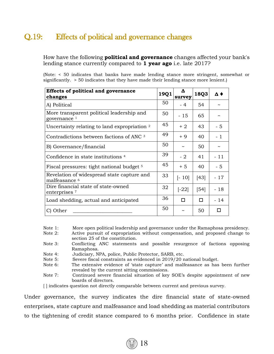## Q.19: Effects of political and governance changes

How have the following **political and governance** changes affected your bank's lending stance currently compared to **1 year ago** i.e. late 2017?

(Note: < 50 indicates that banks have made lending stance more stringent, somewhat or significantly. > 50 indicates that they have made their lending stance more lenient.)

| <b>Effects of political and governance</b><br>changes                  | 19Q1 | Δ<br>survey           | 18Q3   | $\Delta$ $\blacklozenge$ |
|------------------------------------------------------------------------|------|-----------------------|--------|--------------------------|
| A) Political                                                           | 50   | - 4                   | 54     |                          |
| More transparent political leadership and<br>governance $1$            | 50   | $-15$                 | 65     |                          |
| Uncertainty relating to land expropriation 2                           | 45   | $+2$                  | 43     | - 5                      |
| Contradictions between factions of ANC 3                               | 49   | $+9$                  | 40     | $-1$                     |
| B) Governance/financial                                                | 50   | $\tilde{\phantom{a}}$ | 50     | $\tilde{}$               |
| Confidence in state institutions <sup>4</sup>                          | 39   | - 2                   | 41     | $-11$                    |
| Fiscal pressures: tight national budget <sup>5</sup>                   | 45   | $+5$                  | 40     | $-5$                     |
| Revelation of widespread state capture and<br>malfeasance <sup>6</sup> | 33   | $[-10]$               | $[43]$ | - 17                     |
| Dire financial state of state-owned<br>enterprises <sup>7</sup>        | 32   | $[-22]$               | [54]   | - 18                     |
| Load shedding, actual and anticipated                                  | 36   | п                     | п      | $-14$                    |
| C) Other                                                               | 50   | ~                     | 50     | П                        |

Note 1: More open political leadership and governance under the Ramaphosa presidency.

- Note 2: Active pursuit of expropriation without compensation, and proposed change to section 25 of the constitution.
- Note 3: Conflicting ANC statements and possible resurgence of factions opposing Ramaphosa.
- Note 4: Judiciary, NPA, police, Public Protector, SARB, etc.
- Note 5: Severe fiscal constraints as evidenced in 2019/20 national budget.
- Note 6: The extensive evidence of 'state capture' and malfeasance as has been further revealed by the current sitting commissions.
- Note 7: Continued severe financial situation of key SOE's despite appointment of new boards of directors.

[ ] indicates question not directly comparable between current and previous survey.

Under governance, the survey indicates the dire financial state of state-owned enterprises, state capture and malfeasance and load shedding as material contributors to the tightening of credit stance compared to 6 months prior. Confidence in state

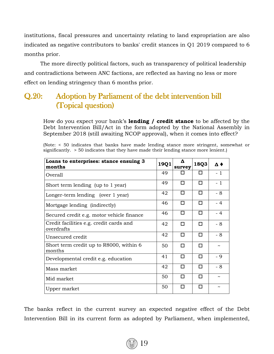institutions, fiscal pressures and uncertainty relating to land expropriation are also indicated as negative contributors to banks' credit stances in Q1 2019 compared to 6 months prior.

The more directly political factors, such as transparency of political leadership and contradictions between ANC factions, are reflected as having no less or more effect on lending stringency than 6 months prior.

### Q.20: Adoption by Parliament of the debt intervention bill (Topical question)

How do you expect your bank's **lending / credit stance** to be affected by the Debt Intervention Bill/Act in the form adopted by the National Assembly in September 2018 (still awaiting NCOP approval), when it comes into effect?

| Loans to enterprises: stance ensuing 3<br>months      | 19Q1 | Δ<br>survey | 18Q3 | $\Delta$ $\blacklozenge$ |
|-------------------------------------------------------|------|-------------|------|--------------------------|
| Overall                                               | 49   | п           | п    | $-1$                     |
| Short term lending (up to 1 year)                     | 49   | п           | п    | $-1$                     |
| Longer-term lending (over 1 year)                     | 42   | п           | п    | $-8$                     |
| Mortgage lending (indirectly)                         | 46   | П           | п    | $-4$                     |
| Secured credit e.g. motor vehicle finance             | 46   | п           | п    | $-4$                     |
| Credit facilities e.g. credit cards and<br>overdrafts | 42   | п           | п    | $-8$                     |
| Unsecured credit                                      | 42   | П           | п    | $-8$                     |
| Short term credit up to R8000, within 6<br>months     | 50   | п           | п    | $\tilde{\phantom{a}}$    |
| Developmental credit e.g. education                   | 41   | П           | п    | - 9                      |
| Mass market                                           | 42   | п           | П    | $-8$                     |
| Mid market                                            | 50   | п           | п    | $\sim$                   |
| Upper market                                          | 50   | п           | п    | $\tilde{\phantom{a}}$    |

(Note: < 50 indicates that banks have made lending stance more stringent, somewhat or significantly. > 50 indicates that they have made their lending stance more lenient.)

The banks reflect in the current survey an expected negative effect of the Debt Intervention Bill in its current form as adopted by Parliament, when implemented,

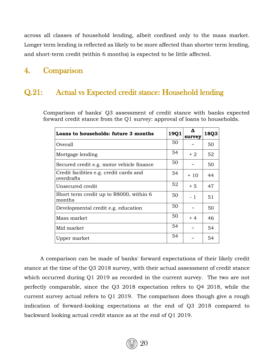across all classes of household lending, albeit confined only to the mass market. Longer term lending is reflected as likely to be more affected than shorter term lending, and short-term credit (within 6 months) is expected to be little affected.

#### 4. Comparison

#### Q.21: Actual vs Expected credit stance: Household lending

Comparison of banks' Q3 assessment of credit stance with banks expected forward credit stance from the Q1 survey: approval of loans to households.

| Loans to households: future 3 months                  | 19Q1 | survey | 18Q3 |
|-------------------------------------------------------|------|--------|------|
| Overall                                               | 50   |        | 50   |
| Mortgage lending                                      | 54   | + 2    | 52   |
| Secured credit e.g. motor vehicle finance             | 50   |        | 50   |
| Credit facilities e.g. credit cards and<br>overdrafts | 54   | $+10$  | 44   |
| Unsecured credit                                      | 52   | $+5$   | 47   |
| Short term credit up to R8000, within 6<br>months     | 50   | $-1$   | 51   |
| Developmental credit e.g. education                   | 50   |        | 50   |
| Mass market                                           | 50   | $+4$   | 46   |
| Mid market                                            | 54   |        | 54   |
| Upper market                                          | 54   |        | 54   |

A comparison can be made of banks' forward expectations of their likely credit stance at the time of the Q3 2018 survey, with their actual assessment of credit stance which occurred during Q1 2019 as recorded in the current survey. The two are not perfectly comparable, since the Q3 2018 expectation refers to Q4 2018, while the current survey actual refers to Q1 2019. The comparison does though give a rough indication of forward-looking expectations at the end of Q3 2018 compared to backward looking actual credit stance as at the end of Q1 2019.

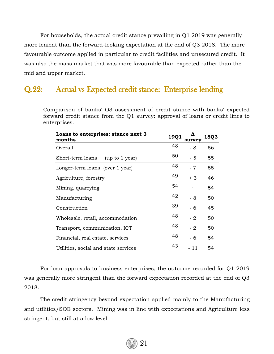For households, the actual credit stance prevailing in Q1 2019 was generally more lenient than the forward-looking expectation at the end of Q3 2018. The more favourable outcome applied in particular to credit facilities and unsecured credit. It was also the mass market that was more favourable than expected rather than the mid and upper market.

#### Q.22: Actual vs Expected credit stance: Enterprise lending

Comparison of banks' Q3 assessment of credit stance with banks' expected forward credit stance from the Q1 survey: approval of loans or credit lines to enterprises.

| Loans to enterprises: stance next 3<br>months | 19Q1 | Δ<br>survey | 18Q3 |
|-----------------------------------------------|------|-------------|------|
| Overall                                       | 48   | - 8         | 56   |
| Short-term loans<br>(up to 1 year)            | 50   | $-5$        | 55   |
| Longer-term loans (over 1 year)               | 48   | $-7$        | 55   |
| Agriculture, forestry                         | 49   | $+3$        | 46   |
| Mining, quarrying                             | 54   |             | 54   |
| Manufacturing                                 | 42   | - 8         | 50   |
| Construction                                  | 39   | - 6         | 45   |
| Wholesale, retail, accommodation              | 48   | $-2$        | 50   |
| Transport, communication, ICT                 | 48   | $-2$        | 50   |
| Financial, real estate, services              | 48   | - 6         | 54   |
| Utilities, social and state services          | 43   | - 11        | 54   |

For loan approvals to business enterprises, the outcome recorded for Q1 2019 was generally more stringent than the forward expectation recorded at the end of Q3 2018.

The credit stringency beyond expectation applied mainly to the Manufacturing and utilities/SOE sectors. Mining was in line with expectations and Agriculture less stringent, but still at a low level.

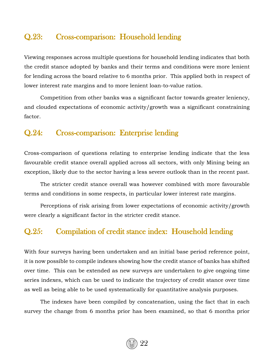#### Q.23: Cross-comparison: Household lending

Viewing responses across multiple questions for household lending indicates that both the credit stance adopted by banks and their terms and conditions were more lenient for lending across the board relative to 6 months prior. This applied both in respect of lower interest rate margins and to more lenient loan-to-value ratios.

Competition from other banks was a significant factor towards greater leniency, and clouded expectations of economic activity/growth was a significant constraining factor.

#### Q.24: Cross-comparison: Enterprise lending

Cross-comparison of questions relating to enterprise lending indicate that the less favourable credit stance overall applied across all sectors, with only Mining being an exception, likely due to the sector having a less severe outlook than in the recent past.

The stricter credit stance overall was however combined with more favourable terms and conditions in some respects, in particular lower interest rate margins.

Perceptions of risk arising from lower expectations of economic activity/growth were clearly a significant factor in the stricter credit stance.

#### Q.25: Compilation of credit stance index: Household lending

With four surveys having been undertaken and an initial base period reference point, it is now possible to compile indexes showing how the credit stance of banks has shifted over time. This can be extended as new surveys are undertaken to give ongoing time series indexes, which can be used to indicate the trajectory of credit stance over time as well as being able to be used systematically for quantitative analysis purposes.

The indexes have been compiled by concatenation, using the fact that in each survey the change from 6 months prior has been examined, so that 6 months prior

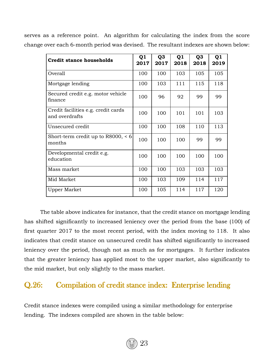| <b>Credit stance households</b>                       | Q <sub>1</sub><br>2017 | Q <sub>3</sub><br>2017 | Q1<br>2018 | Q <sub>3</sub><br>2018 | Q <sub>1</sub><br>2019 |
|-------------------------------------------------------|------------------------|------------------------|------------|------------------------|------------------------|
| Overall                                               | 100                    | 100                    | 103        | 105                    | 105                    |
| Mortgage lending                                      | 100                    | 103                    | 111        | 115                    | 118                    |
| Secured credit e.g. motor vehicle<br>finance          | 100                    | 96                     | 92         | 99                     | 99                     |
| Credit facilities e.g. credit cards<br>and overdrafts | 100                    | 100                    | 101        | 101                    | 103                    |
| Unsecured credit                                      | 100                    | 100                    | 108        | 110                    | 113                    |
| Short-term credit up to $R8000$ , < 6<br>months       | 100                    | 100                    | 100        | 99                     | 99                     |
| Developmental credit e.g.<br>education                | 100                    | 100                    | 100        | 100                    | 100                    |
| Mass market                                           | 100                    | 100                    | 103        | 103                    | 103                    |
| Mid Market                                            | 100                    | 103                    | 109        | 114                    | 117                    |
| Upper Market                                          | 100                    | 105                    | 114        | 117                    | 120                    |

serves as a reference point. An algorithm for calculating the index from the score change over each 6-month period was devised. The resultant indexes are shown below:

The table above indicates for instance, that the credit stance on mortgage lending has shifted significantly to increased leniency over the period from the base (100) of first quarter 2017 to the most recent period, with the index moving to 118. It also indicates that credit stance on unsecured credit has shifted significantly to increased leniency over the period, though not as much as for mortgages. It further indicates that the greater leniency has applied most to the upper market, also significantly to the mid market, but only slightly to the mass market.

#### Q.26: Compilation of credit stance index: Enterprise lending

Credit stance indexes were compiled using a similar methodology for enterprise lending. The indexes compiled are shown in the table below:

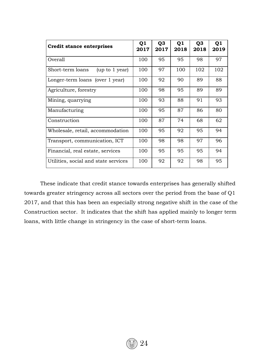| <b>Credit stance enterprises</b>     | Q <sub>1</sub><br>2017 | Q <sub>3</sub><br>2017 | Q <sub>1</sub><br>2018 | Q3<br>2018 | Q1<br>2019 |
|--------------------------------------|------------------------|------------------------|------------------------|------------|------------|
| Overall                              | 100                    | 95                     | 95                     | 98         | 97         |
| Short-term loans<br>(up to 1 year)   | 100                    | 97                     | 100                    | 102        | 102        |
| Longer-term loans (over 1 year)      | 100                    | 92                     | 90                     | 89         | 88         |
| Agriculture, forestry                | 100                    | 98                     | 95                     | 89         | 89         |
| Mining, quarrying                    | 100                    | 93                     | 88                     | 91         | 93         |
| Manufacturing                        | 100                    | 95                     | 87                     | 86         | 80         |
| Construction                         | 100                    | 87                     | 74                     | 68         | 62         |
| Wholesale, retail, accommodation     | 100                    | 95                     | 92                     | 95         | 94         |
| Transport, communication, ICT        | 100                    | 98                     | 98                     | 97         | 96         |
| Financial, real estate, services     | 100                    | 95                     | 95                     | 95         | 94         |
| Utilities, social and state services | 100                    | 92                     | 92                     | 98         | 95         |

These indicate that credit stance towards enterprises has generally shifted towards greater stringency across all sectors over the period from the base of Q1 2017, and that this has been an especially strong negative shift in the case of the Construction sector. It indicates that the shift has applied mainly to longer term loans, with little change in stringency in the case of short-term loans.